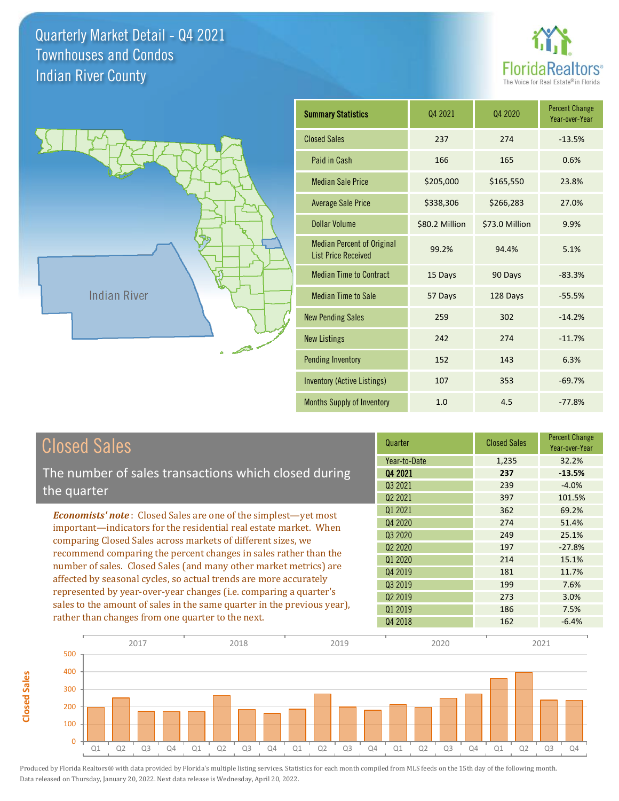**Closed Sales**

**Closed Sales** 





| <b>Summary Statistics</b>                                       | Q4 2021        | Q4 2020        | <b>Percent Change</b><br>Year-over-Year |
|-----------------------------------------------------------------|----------------|----------------|-----------------------------------------|
| <b>Closed Sales</b>                                             | 237            | 274            | $-13.5%$                                |
| Paid in Cash                                                    | 166            | 165            | 0.6%                                    |
| <b>Median Sale Price</b>                                        | \$205,000      | \$165,550      | 23.8%                                   |
| <b>Average Sale Price</b>                                       | \$338,306      | \$266,283      | 27.0%                                   |
| <b>Dollar Volume</b>                                            | \$80.2 Million | \$73.0 Million | 9.9%                                    |
| <b>Median Percent of Original</b><br><b>List Price Received</b> | 99.2%          | 94.4%          | 5.1%                                    |
| <b>Median Time to Contract</b>                                  | 15 Days        | 90 Days        | $-83.3%$                                |
| <b>Median Time to Sale</b>                                      | 57 Days        | 128 Days       | $-55.5%$                                |
| <b>New Pending Sales</b>                                        | 259            | 302            | $-14.2%$                                |
| <b>New Listings</b>                                             | 242            | 274            | $-11.7%$                                |
| <b>Pending Inventory</b>                                        | 152            | 143            | 6.3%                                    |
| Inventory (Active Listings)                                     | 107            | 353            | $-69.7%$                                |
| Months Supply of Inventory                                      | 1.0            | 4.5            | $-77.8%$                                |

| <b>Closed Sales</b>                                                                                                                                                                                   | Quarter             | <b>Closed Sales</b> | <b>Percent Change</b><br>Year-over-Year |
|-------------------------------------------------------------------------------------------------------------------------------------------------------------------------------------------------------|---------------------|---------------------|-----------------------------------------|
|                                                                                                                                                                                                       | Year-to-Date        | 1,235               | 32.2%                                   |
| The number of sales transactions which closed during                                                                                                                                                  | Q4 2021             | 237                 | $-13.5%$                                |
| the quarter                                                                                                                                                                                           | Q3 2021             | 239                 | $-4.0%$                                 |
|                                                                                                                                                                                                       | Q <sub>2</sub> 2021 | 397                 | 101.5%                                  |
| <b>Economists' note:</b> Closed Sales are one of the simplest—yet most                                                                                                                                | 01 2021             | 362                 | 69.2%                                   |
| important-indicators for the residential real estate market. When                                                                                                                                     | Q4 2020             | 274                 | 51.4%                                   |
| comparing Closed Sales across markets of different sizes, we<br>recommend comparing the percent changes in sales rather than the<br>number of sales. Closed Sales (and many other market metrics) are | Q3 2020             | 249                 | 25.1%                                   |
|                                                                                                                                                                                                       | Q <sub>2</sub> 2020 | 197                 | $-27.8%$                                |
|                                                                                                                                                                                                       | 01 2020             | 214                 | 15.1%                                   |
|                                                                                                                                                                                                       | Q4 2019             | 181                 | 11.7%                                   |
| affected by seasonal cycles, so actual trends are more accurately                                                                                                                                     | Q3 2019             | 199                 | 7.6%                                    |
| represented by year-over-year changes (i.e. comparing a quarter's                                                                                                                                     | 02 2019             | 273                 | 3.0%                                    |
| sales to the amount of sales in the same quarter in the previous year),<br>rather than changes from one quarter to the next.                                                                          | Q1 2019             | 186                 | 7.5%                                    |
|                                                                                                                                                                                                       | Q4 2018             | 162                 | $-6.4%$                                 |

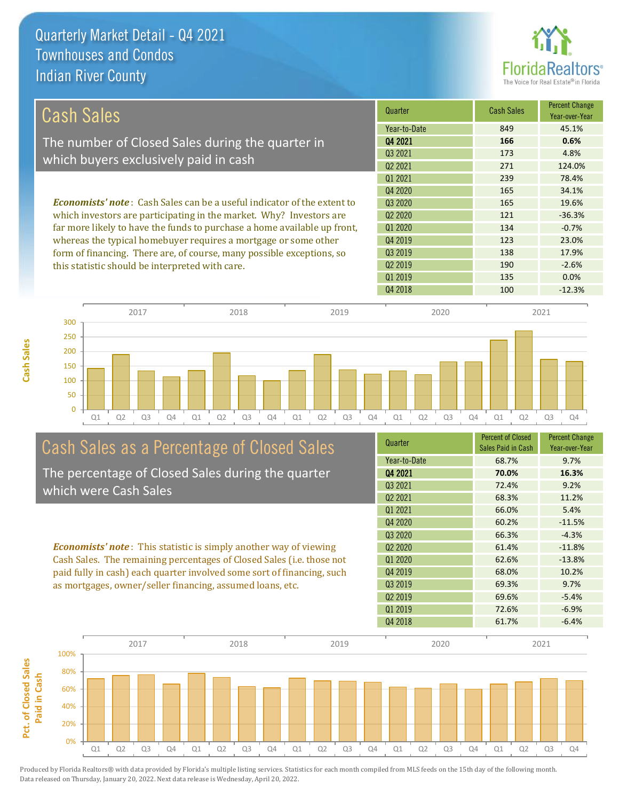**Cash Sales**



| <b>Cash Sales</b>                                                               | Quarter      | <b>Cash Sales</b> | <b>Percent Change</b><br>Year-over-Year |
|---------------------------------------------------------------------------------|--------------|-------------------|-----------------------------------------|
|                                                                                 | Year-to-Date | 849               | 45.1%                                   |
| The number of Closed Sales during the quarter in                                | Q4 2021      | 166               | 0.6%                                    |
| which buyers exclusively paid in cash                                           | 03 2021      | 173               | 4.8%                                    |
|                                                                                 | 02 2021      | 271               | 124.0%                                  |
|                                                                                 | 01 2021      | 239               | 78.4%                                   |
|                                                                                 | 04 20 20     | 165               | 34.1%                                   |
| <b>Economists' note</b> : Cash Sales can be a useful indicator of the extent to | Q3 2020      | 165               | 19.6%                                   |
| which investors are participating in the market. Why? Investors are             | 02 2020      | 121               | $-36.3%$                                |
| far more likely to have the funds to purchase a home available up front,        | Q1 2020      | 134               | $-0.7%$                                 |
| whereas the typical homebuyer requires a mortgage or some other                 | Q4 2019      | 123               | 23.0%                                   |
| form of financing. There are, of course, many possible exceptions, so           | Q3 2019      | 138               | 17.9%                                   |
| this statistic should be interpreted with care.                                 | 02 2019      | 190               | $-2.6%$                                 |
|                                                                                 | 01 2019      | 135               | 0.0%                                    |



# Cash Sales as a Percentage of Closed Sales

The percentage of Closed Sales during the quarter which were Cash Sales

*Economists' note* : This statistic is simply another way of viewing Cash Sales. The remaining percentages of Closed Sales (i.e. those not paid fully in cash) each quarter involved some sort of financing, such as mortgages, owner/seller financing, assumed loans, etc.



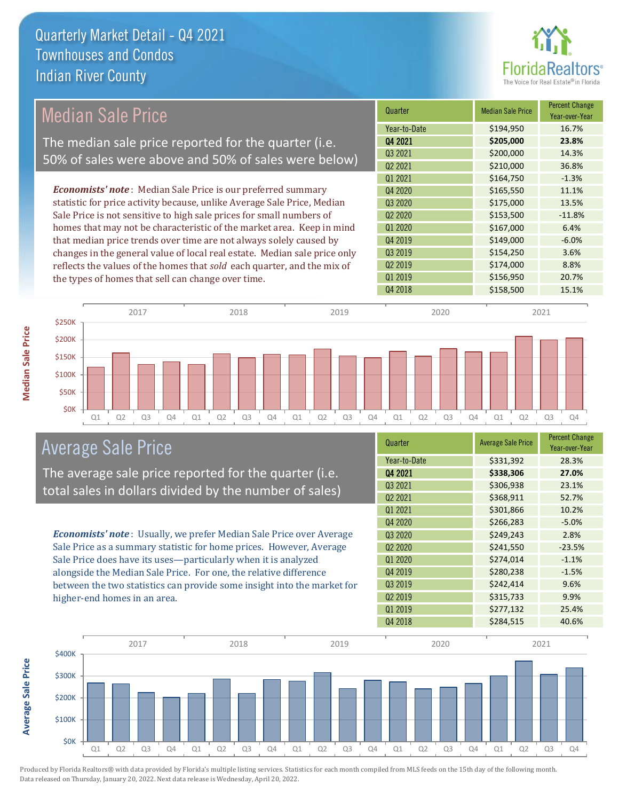

### Median Sale Price

The median sale price reported for the quarter (i.e. 50% of sales were above and 50% of sales were below)

*Economists' note* : Median Sale Price is our preferred summary statistic for price activity because, unlike Average Sale Price, Median Sale Price is not sensitive to high sale prices for small numbers of homes that may not be characteristic of the market area. Keep in mind that median price trends over time are not always solely caused by changes in the general value of local real estate. Median sale price only reflects the values of the homes that *sold* each quarter, and the mix of the types of homes that sell can change over time.

| <b>Median Sale Price</b> | <b>Percent Change</b><br>Year-over-Year |
|--------------------------|-----------------------------------------|
| \$194,950                | 16.7%                                   |
| \$205,000                | 23.8%                                   |
| \$200,000                | 14.3%                                   |
| \$210,000                | 36.8%                                   |
| \$164,750                | $-1.3%$                                 |
| \$165,550                | 11.1%                                   |
| \$175,000                | 13.5%                                   |
| \$153,500                | $-11.8%$                                |
| \$167,000                | 6.4%                                    |
| \$149,000                | $-6.0%$                                 |
| \$154,250                | 3.6%                                    |
| \$174,000                | 8.8%                                    |
| \$156,950                | 20.7%                                   |
| \$158,500                | 15.1%                                   |
|                          |                                         |



### Average Sale Price

The average sale price reported for the quarter (i.e. total sales in dollars divided by the number of sales)

*Economists' note* : Usually, we prefer Median Sale Price over Average Sale Price as a summary statistic for home prices. However, Average Sale Price does have its uses—particularly when it is analyzed alongside the Median Sale Price. For one, the relative difference between the two statistics can provide some insight into the market for higher-end homes in an area.

| Quarter                         | <b>Average Sale Price</b> | <b>Percent Change</b><br>Year-over-Year |
|---------------------------------|---------------------------|-----------------------------------------|
| Year-to-Date                    | \$331,392                 | 28.3%                                   |
| Q4 2021                         | \$338,306                 | 27.0%                                   |
| Q3 2021                         | \$306,938                 | 23.1%                                   |
| Q <sub>2</sub> 2021             | \$368,911                 | 52.7%                                   |
| Q1 2021                         | \$301,866                 | 10.2%                                   |
| Q4 2020                         | \$266,283                 | $-5.0%$                                 |
| Q3 2020                         | \$249,243                 | 2.8%                                    |
| Q <sub>2</sub> 20 <sub>20</sub> | \$241,550                 | $-23.5%$                                |
| Q1 2020                         | \$274,014                 | $-1.1%$                                 |
| Q4 2019                         | \$280,238                 | $-1.5%$                                 |
| Q3 2019                         | \$242,414                 | 9.6%                                    |
| Q <sub>2</sub> 2019             | \$315,733                 | 9.9%                                    |
| 01 2019                         | \$277,132                 | 25.4%                                   |
| Q4 2018                         | \$284,515                 | 40.6%                                   |



Produced by Florida Realtors® with data provided by Florida's multiple listing services. Statistics for each month compiled from MLS feeds on the 15th day of the following month. Data released on Thursday, January 20, 2022. Next data release is Wednesday, April 20, 2022.

**Average Sale Price**

Average Sale Price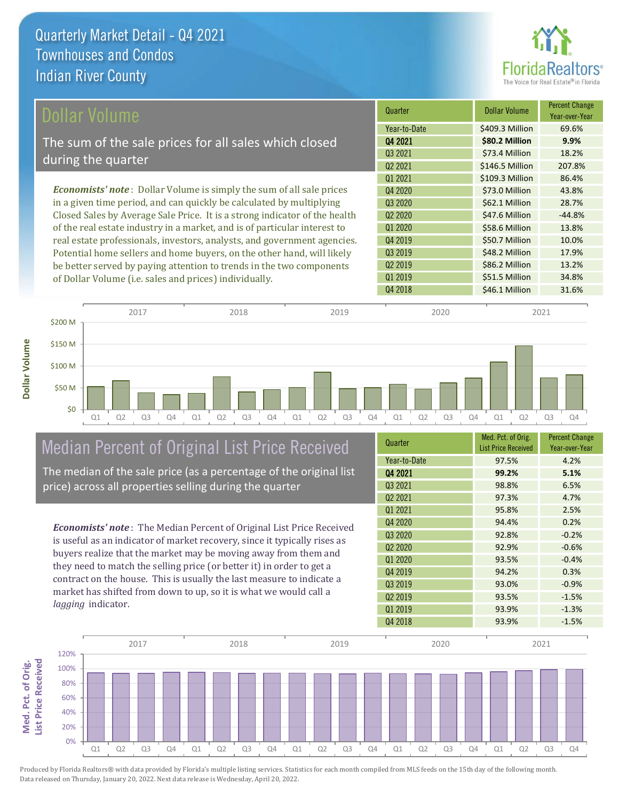

| Dollar Volume                                                               | Quarter             | <b>Dollar Volume</b> | <b>Percent Change</b><br>Year-over-Year |
|-----------------------------------------------------------------------------|---------------------|----------------------|-----------------------------------------|
|                                                                             | Year-to-Date        | \$409.3 Million      | 69.6%                                   |
| The sum of the sale prices for all sales which closed                       | Q4 2021             | \$80.2 Million       | 9.9%                                    |
|                                                                             | Q3 2021             | \$73.4 Million       | 18.2%                                   |
| during the quarter                                                          | Q <sub>2</sub> 2021 | \$146.5 Million      | 207.8%                                  |
|                                                                             | Q1 2021             | \$109.3 Million      | 86.4%                                   |
| <b>Economists' note:</b> Dollar Volume is simply the sum of all sale prices | Q4 2020             | \$73.0 Million       | 43.8%                                   |
| in a given time period, and can quickly be calculated by multiplying        | Q3 2020             | \$62.1 Million       | 28.7%                                   |
| Closed Sales by Average Sale Price. It is a strong indicator of the health  | Q <sub>2</sub> 2020 | \$47.6 Million       | $-44.8%$                                |
| of the real estate industry in a market, and is of particular interest to   | Q1 2020             | \$58.6 Million       | 13.8%                                   |
| real estate professionals, investors, analysts, and government agencies.    | Q4 2019             | \$50.7 Million       | 10.0%                                   |
| Potential home sellers and home buyers, on the other hand, will likely      | Q3 2019             | \$48.2 Million       | 17.9%                                   |
| be better served by paying attention to trends in the two components        | Q <sub>2</sub> 2019 | \$86.2 Million       | 13.2%                                   |
| of Dollar Volume (i.e. sales and prices) individually.                      | Q1 2019             | \$51.5 Million       | 34.8%                                   |



# Median Percent of Original List Price Received

The median of the sale price (as a percentage of the original list price) across all properties selling during the quarter

*Economists' note* : The Median Percent of Original List Price Received is useful as an indicator of market recovery, since it typically rises as buyers realize that the market may be moving away from them and they need to match the selling price (or better it) in order to get a contract on the house. This is usually the last measure to indicate a market has shifted from down to up, so it is what we would call a *lagging* indicator.

| Quarter             | Med. Pct. of Orig.<br><b>List Price Received</b> | <b>Percent Change</b><br>Year-over-Year |
|---------------------|--------------------------------------------------|-----------------------------------------|
| Year-to-Date        | 97.5%                                            | 4.2%                                    |
| Q4 2021             | 99.2%                                            | 5.1%                                    |
| Q3 2021             | 98.8%                                            | 6.5%                                    |
| Q <sub>2</sub> 2021 | 97.3%                                            | 4.7%                                    |
| 01 2021             | 95.8%                                            | 2.5%                                    |
| Q4 2020             | 94.4%                                            | 0.2%                                    |
| Q3 2020             | 92.8%                                            | $-0.2%$                                 |
| Q <sub>2</sub> 2020 | 92.9%                                            | $-0.6%$                                 |
| 01 2020             | 93.5%                                            | $-0.4%$                                 |
| Q4 2019             | 94.2%                                            | 0.3%                                    |
| Q3 2019             | 93.0%                                            | $-0.9%$                                 |
| Q <sub>2</sub> 2019 | 93.5%                                            | $-1.5%$                                 |
| 01 2019             | 93.9%                                            | $-1.3%$                                 |
| Q4 2018             | 93.9%                                            | $-1.5%$                                 |

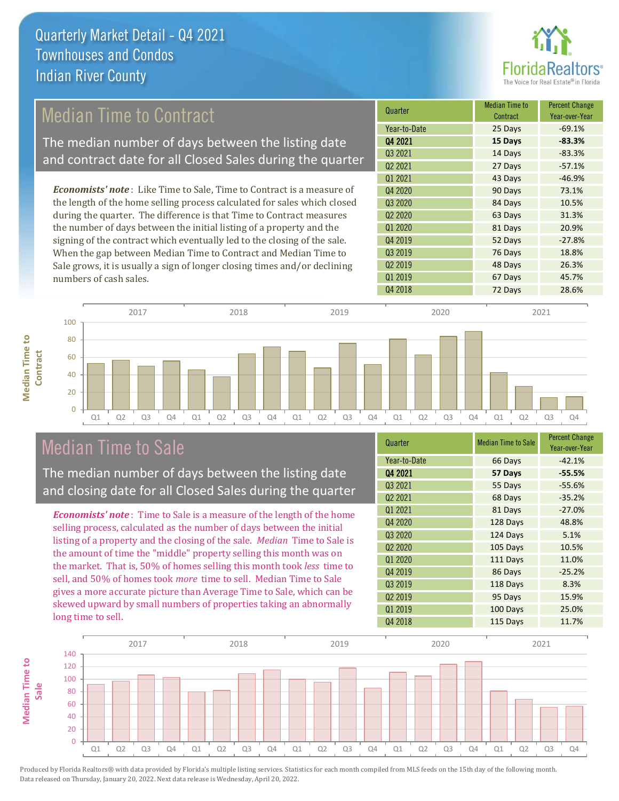

### Median Time to Contract

The median number of days between the listing date and contract date for all Closed Sales during the quarter

*Economists' note* : Like Time to Sale, Time to Contract is a measure of the length of the home selling process calculated for sales which closed during the quarter. The difference is that Time to Contract measures the number of days between the initial listing of a property and the signing of the contract which eventually led to the closing of the sale. When the gap between Median Time to Contract and Median Time to Sale grows, it is usually a sign of longer closing times and/or declining numbers of cash sales.

| Quarter             | <b>Median Time to</b><br>Contract | <b>Percent Change</b><br>Year-over-Year |
|---------------------|-----------------------------------|-----------------------------------------|
| Year-to-Date        | 25 Days                           | $-69.1%$                                |
| Q4 2021             | 15 Days                           | $-83.3%$                                |
| Q3 2021             | 14 Days                           | $-83.3%$                                |
| Q <sub>2</sub> 2021 | 27 Days                           | $-57.1%$                                |
| Q1 2021             | 43 Days                           | $-46.9%$                                |
| Q4 2020             | 90 Days                           | 73.1%                                   |
| Q3 2020             | 84 Days                           | 10.5%                                   |
| Q <sub>2</sub> 2020 | 63 Days                           | 31.3%                                   |
| Q1 2020             | 81 Days                           | 20.9%                                   |
| Q4 2019             | 52 Days                           | $-27.8%$                                |
| Q3 2019             | 76 Days                           | 18.8%                                   |
| Q <sub>2</sub> 2019 | 48 Days                           | 26.3%                                   |
| Q1 2019             | 67 Days                           | 45.7%                                   |
| Q4 2018             | 72 Days                           | 28.6%                                   |



### Median Time to Sale

**Median Time to** 

**Median Time to** 

The median number of days between the listing date and closing date for all Closed Sales during the quarter

*Economists' note* : Time to Sale is a measure of the length of the home selling process, calculated as the number of days between the initial listing of a property and the closing of the sale. *Median* Time to Sale is the amount of time the "middle" property selling this month was on the market. That is, 50% of homes selling this month took *less* time to sell, and 50% of homes took *more* time to sell. Median Time to Sale gives a more accurate picture than Average Time to Sale, which can be skewed upward by small numbers of properties taking an abnormally long time to sell.

| Quarter                         | <b>Median Time to Sale</b> | <b>Percent Change</b><br>Year-over-Year |
|---------------------------------|----------------------------|-----------------------------------------|
| Year-to-Date                    | 66 Days                    | $-42.1%$                                |
| Q4 2021                         | 57 Days                    | $-55.5%$                                |
| 03 2021                         | 55 Days                    | $-55.6%$                                |
| Q <sub>2</sub> 2021             | 68 Days                    | $-35.2%$                                |
| Q1 2021                         | 81 Days                    | $-27.0%$                                |
| Q4 2020                         | 128 Days                   | 48.8%                                   |
| Q3 2020                         | 124 Days                   | 5.1%                                    |
| Q <sub>2</sub> 20 <sub>20</sub> | 105 Days                   | 10.5%                                   |
| Q1 2020                         | 111 Days                   | 11.0%                                   |
| Q4 2019                         | 86 Days                    | $-25.2%$                                |
| Q3 2019                         | 118 Days                   | 8.3%                                    |
| Q <sub>2</sub> 2019             | 95 Days                    | 15.9%                                   |
| Q1 2019                         | 100 Days                   | 25.0%                                   |
| Q4 2018                         | 115 Days                   | 11.7%                                   |

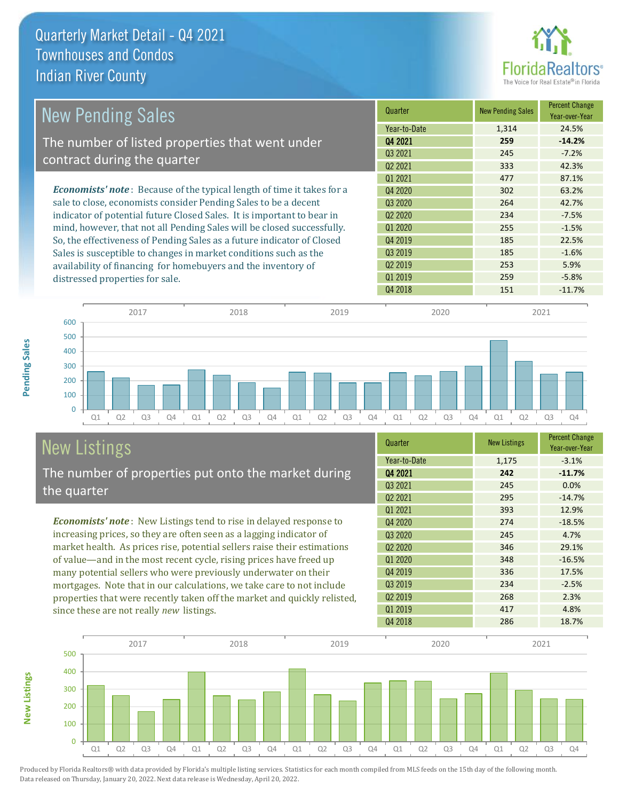

| <b>New Pending Sales</b>                                                      | Quarter             | <b>New Pending Sales</b> | <b>Percent Change</b><br>Year-over-Year |
|-------------------------------------------------------------------------------|---------------------|--------------------------|-----------------------------------------|
|                                                                               | Year-to-Date        | 1,314                    | 24.5%                                   |
| The number of listed properties that went under                               | 04 2021             | 259                      | $-14.2%$                                |
|                                                                               | 03 2021             | 245                      | $-7.2%$                                 |
| contract during the quarter                                                   | 02 2021             | 333                      | 42.3%                                   |
|                                                                               | 01 2021             | 477                      | 87.1%                                   |
| <b>Economists' note:</b> Because of the typical length of time it takes for a | Q4 2020             | 302                      | 63.2%                                   |
| sale to close, economists consider Pending Sales to be a decent               | Q3 2020             | 264                      | 42.7%                                   |
| indicator of potential future Closed Sales. It is important to bear in        | Q <sub>2</sub> 2020 | 234                      | $-7.5%$                                 |
| mind, however, that not all Pending Sales will be closed successfully.        | Q1 2020             | 255                      | $-1.5%$                                 |
| So, the effectiveness of Pending Sales as a future indicator of Closed        | Q4 2019             | 185                      | 22.5%                                   |
| Sales is susceptible to changes in market conditions such as the              | Q3 2019             | 185                      | $-1.6%$                                 |
| availability of financing for homebuyers and the inventory of                 | Q <sub>2</sub> 2019 | 253                      | 5.9%                                    |
| distressed properties for sale.                                               | Q1 2019             | 259                      | $-5.8%$                                 |
|                                                                               | Q4 2018             | 151                      | $-11.7%$                                |



# New Listings

**New Listings**

**Pending Sales**

Pending Sales

The number of properties put onto the market during the quarter

*Economists' note* : New Listings tend to rise in delayed response to increasing prices, so they are often seen as a lagging indicator of market health. As prices rise, potential sellers raise their estimations of value—and in the most recent cycle, rising prices have freed up many potential sellers who were previously underwater on their mortgages. Note that in our calculations, we take care to not include properties that were recently taken off the market and quickly relisted, since these are not really *new* listings.

| Quarter                         | <b>New Listings</b> | <b>Percent Change</b><br>Year-over-Year |
|---------------------------------|---------------------|-----------------------------------------|
| Year-to-Date                    | 1,175               | $-3.1%$                                 |
| Q4 2021                         | 242                 | $-11.7%$                                |
| Q3 2021                         | 245                 | 0.0%                                    |
| Q <sub>2</sub> 2021             | 295                 | $-14.7%$                                |
| 01 2021                         | 393                 | 12.9%                                   |
| Q4 2020                         | 274                 | $-18.5%$                                |
| Q3 2020                         | 245                 | 4.7%                                    |
| Q <sub>2</sub> 20 <sub>20</sub> | 346                 | 29.1%                                   |
| Q1 2020                         | 348                 | $-16.5%$                                |
| Q4 2019                         | 336                 | 17.5%                                   |
| Q3 2019                         | 234                 | $-2.5%$                                 |
| Q <sub>2</sub> 2019             | 268                 | 2.3%                                    |
| 01 2019                         | 417                 | 4.8%                                    |
| Q4 2018                         | 286                 | 18.7%                                   |

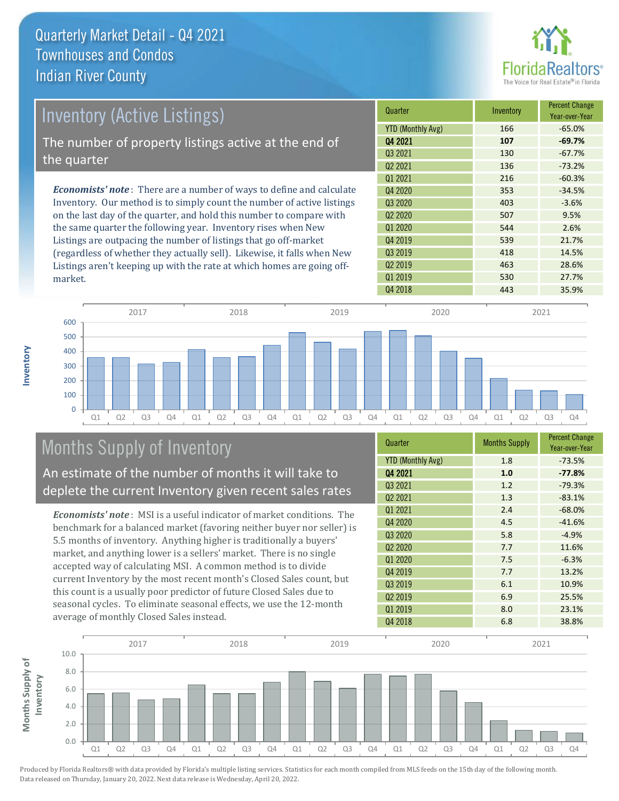

| <b>Inventory (Active Listings)</b>                                           | Quarter             | Inventory | <b>Percent Change</b><br>Year-over-Year |
|------------------------------------------------------------------------------|---------------------|-----------|-----------------------------------------|
|                                                                              | YTD (Monthly Avg)   | 166       | $-65.0%$                                |
| The number of property listings active at the end of                         | Q4 2021             | 107       | $-69.7%$                                |
| the quarter                                                                  | Q3 2021             | 130       | $-67.7%$                                |
|                                                                              | 02 2021             | 136       | $-73.2%$                                |
|                                                                              | 01 2021             | 216       | $-60.3%$                                |
| <b>Economists' note</b> : There are a number of ways to define and calculate | Q4 2020             | 353       | $-34.5%$                                |
| Inventory. Our method is to simply count the number of active listings       | 03 20 20            | 403       | $-3.6%$                                 |
| on the last day of the quarter, and hold this number to compare with         | Q <sub>2</sub> 2020 | 507       | 9.5%                                    |
| the same quarter the following year. Inventory rises when New                | 01 2020             | 544       | 2.6%                                    |
| Listings are outpacing the number of listings that go off-market             | Q4 2019             | 539       | 21.7%                                   |
| Crogardlass of whather they actually sell) Likewise it falls when New        | 03 2019             | 418       | 14 5%                                   |

(regardless of whether they actually sell). Likewise, it falls when New Listings aren't keeping up with the rate at which homes are going offmarket.





## Months Supply of Inventory

An estimate of the number of months it will take to deplete the current Inventory given recent sales rates

*Economists' note* : MSI is a useful indicator of market conditions. The benchmark for a balanced market (favoring neither buyer nor seller) is 5.5 months of inventory. Anything higher is traditionally a buyers' market, and anything lower is a sellers' market. There is no single accepted way of calculating MSI. A common method is to divide current Inventory by the most recent month's Closed Sales count, but this count is a usually poor predictor of future Closed Sales due to seasonal cycles. To eliminate seasonal effects, we use the 12-month average of monthly Closed Sales instead.

| Quarter                         | <b>Months Supply</b> | <b>Percent Change</b><br>Year-over-Year |
|---------------------------------|----------------------|-----------------------------------------|
| <b>YTD (Monthly Avg)</b>        | 1.8                  | $-73.5%$                                |
| Q4 2021                         | 1.0                  | $-77.8%$                                |
| Q3 2021                         | 1.2                  | $-79.3%$                                |
| Q <sub>2</sub> 2021             | 1.3                  | $-83.1%$                                |
| Q1 2021                         | 2.4                  | $-68.0%$                                |
| Q4 2020                         | 4.5                  | $-41.6%$                                |
| Q3 2020                         | 5.8                  | $-4.9%$                                 |
| Q <sub>2</sub> 20 <sub>20</sub> | 7.7                  | 11.6%                                   |
| Q1 2020                         | 7.5                  | $-6.3%$                                 |
| Q4 2019                         | 7.7                  | 13.2%                                   |
| Q <sub>3</sub> 2019             | 6.1                  | 10.9%                                   |
| Q <sub>2</sub> 2019             | 6.9                  | 25.5%                                   |
| Q1 2019                         | 8.0                  | 23.1%                                   |
| Q4 2018                         | 6.8                  | 38.8%                                   |

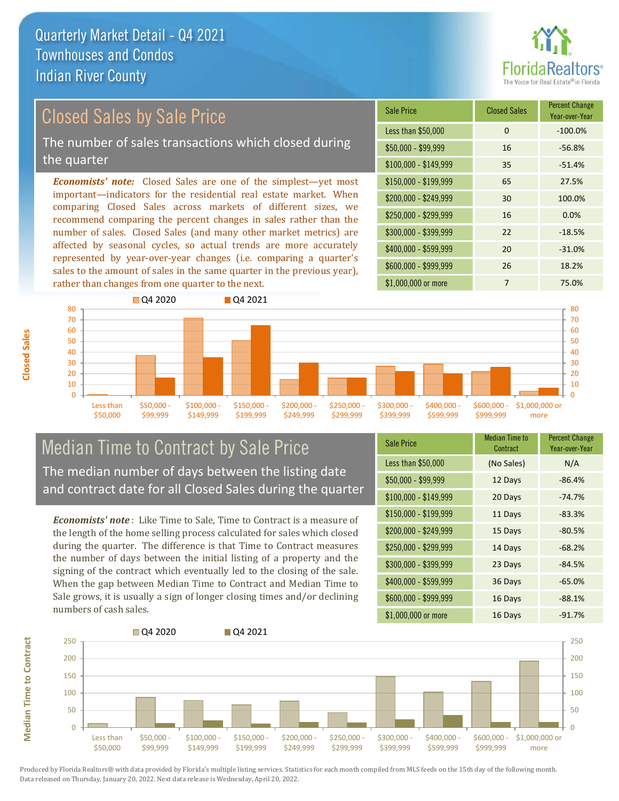

### Closed Sales by Sale Price

The number of sales transactions which closed during the quarter

*Economists' note:* Closed Sales are one of the simplest—yet most important—indicators for the residential real estate market. When comparing Closed Sales across markets of different sizes, we recommend comparing the percent changes in sales rather than the number of sales. Closed Sales (and many other market metrics) are affected by seasonal cycles, so actual trends are more accurately represented by year-over-year changes (i.e. comparing a quarter's sales to the amount of sales in the same quarter in the previous year), rather than changes from one quarter to the next.

| Sale Price            | <b>Closed Sales</b> | <b>Percent Change</b><br>Year-over-Year |
|-----------------------|---------------------|-----------------------------------------|
| Less than \$50,000    | 0                   | $-100.0%$                               |
| $$50,000 - $99,999$   | 16                  | $-56.8%$                                |
| $$100,000 - $149,999$ | 35                  | $-51.4%$                                |
| $$150,000 - $199,999$ | 65                  | 27.5%                                   |
| \$200,000 - \$249,999 | 30                  | 100.0%                                  |
| \$250,000 - \$299,999 | 16                  | 0.0%                                    |
| \$300,000 - \$399,999 | 22                  | $-18.5%$                                |
| \$400,000 - \$599,999 | 20                  | $-31.0%$                                |
| \$600,000 - \$999,999 | 26                  | 18.2%                                   |
| \$1,000,000 or more   | 7                   | 75.0%                                   |



### Median Time to Contract by Sale Price The median number of days between the listing date and contract date for all Closed Sales during the quarter

*Economists' note* : Like Time to Sale, Time to Contract is a measure of the length of the home selling process calculated for sales which closed during the quarter. The difference is that Time to Contract measures the number of days between the initial listing of a property and the signing of the contract which eventually led to the closing of the sale. When the gap between Median Time to Contract and Median Time to Sale grows, it is usually a sign of longer closing times and/or declining numbers of cash sales.

| <b>Sale Price</b>     | <b>Median Time to</b><br>Contract | <b>Percent Change</b><br>Year-over-Year |
|-----------------------|-----------------------------------|-----------------------------------------|
| Less than \$50,000    | (No Sales)                        | N/A                                     |
| $$50,000 - $99,999$   | 12 Days                           | $-86.4%$                                |
| $$100,000 - $149,999$ | 20 Days                           | $-74.7%$                                |
| \$150,000 - \$199,999 | 11 Days                           | $-83.3%$                                |
| \$200,000 - \$249,999 | 15 Days                           | $-80.5%$                                |
| \$250,000 - \$299,999 | 14 Days                           | $-68.2%$                                |
| \$300,000 - \$399,999 | 23 Days                           | $-84.5%$                                |
| \$400,000 - \$599,999 | 36 Days                           | $-65.0%$                                |
| \$600,000 - \$999,999 | 16 Days                           | $-88.1%$                                |
| \$1,000,000 or more   | 16 Days                           | $-91.7%$                                |

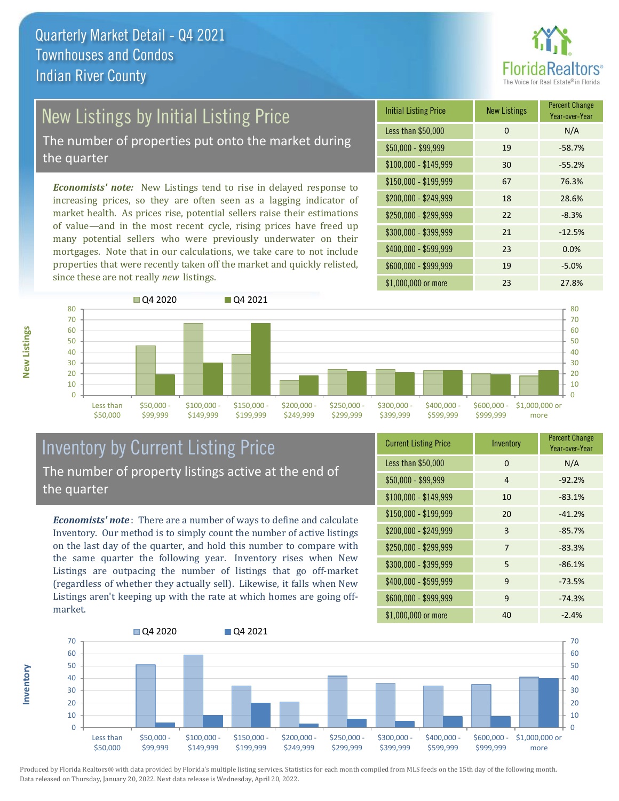

# New Listings by Initial Listing Price

The number of properties put onto the market during the quarter

*Economists' note:* New Listings tend to rise in delayed response to increasing prices, so they are often seen as a lagging indicator of market health. As prices rise, potential sellers raise their estimations of value—and in the most recent cycle, rising prices have freed up many potential sellers who were previously underwater on their mortgages. Note that in our calculations, we take care to not include properties that were recently taken off the market and quickly relisted, since these are not really *new* listings.





### Inventory by Current Listing Price The number of property listings active at the end of the quarter

*Economists' note* : There are a number of ways to define and calculate Inventory. Our method is to simply count the number of active listings on the last day of the quarter, and hold this number to compare with the same quarter the following year. Inventory rises when New Listings are outpacing the number of listings that go off-market (regardless of whether they actually sell). Likewise, it falls when New Listings aren't keeping up with the rate at which homes are going offmarket.

| <b>Current Listing Price</b> | Inventory | <b>Percent Change</b><br>Year-over-Year |
|------------------------------|-----------|-----------------------------------------|
| Less than \$50,000           | $\Omega$  | N/A                                     |
| $$50,000 - $99,999$          | 4         | $-92.2%$                                |
| $$100,000 - $149,999$        | 10        | $-83.1%$                                |
| $$150,000 - $199,999$        | 20        | $-41.2%$                                |
| \$200,000 - \$249,999        | 3         | $-85.7%$                                |
| \$250,000 - \$299,999        | 7         | $-83.3%$                                |
| \$300,000 - \$399,999        | 5         | $-86.1%$                                |
| \$400,000 - \$599,999        | 9         | $-73.5%$                                |
| \$600,000 - \$999,999        | 9         | $-74.3%$                                |
| \$1,000,000 or more          | 40        | $-2.4%$                                 |



**New Listings**